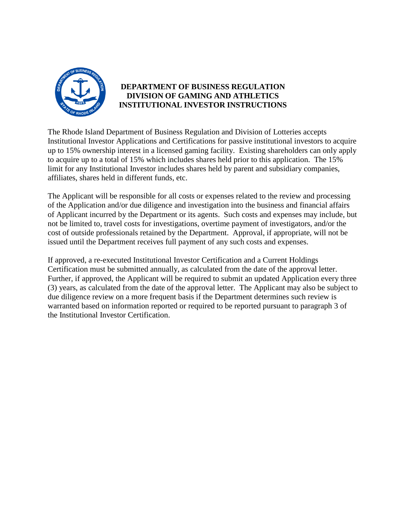

## **DEPARTMENT OF BUSINESS REGULATION DIVISION OF GAMING AND ATHLETICS INSTITUTIONAL INVESTOR INSTRUCTIONS**

The Rhode Island Department of Business Regulation and Division of Lotteries accepts Institutional Investor Applications and Certifications for passive institutional investors to acquire up to 15% ownership interest in a licensed gaming facility. Existing shareholders can only apply to acquire up to a total of 15% which includes shares held prior to this application. The 15% limit for any Institutional Investor includes shares held by parent and subsidiary companies, affiliates, shares held in different funds, etc.

The Applicant will be responsible for all costs or expenses related to the review and processing of the Application and/or due diligence and investigation into the business and financial affairs of Applicant incurred by the Department or its agents. Such costs and expenses may include, but not be limited to, travel costs for investigations, overtime payment of investigators, and/or the cost of outside professionals retained by the Department. Approval, if appropriate, will not be issued until the Department receives full payment of any such costs and expenses.

If approved, a re-executed Institutional Investor Certification and a Current Holdings Certification must be submitted annually, as calculated from the date of the approval letter. Further, if approved, the Applicant will be required to submit an updated Application every three (3) years, as calculated from the date of the approval letter. The Applicant may also be subject to due diligence review on a more frequent basis if the Department determines such review is warranted based on information reported or required to be reported pursuant to paragraph 3 of the Institutional Investor Certification.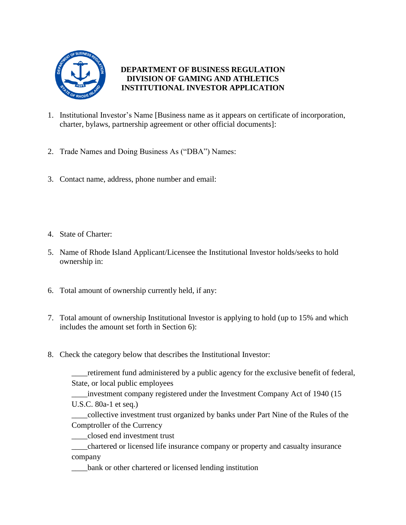

## **DEPARTMENT OF BUSINESS REGULATION DIVISION OF GAMING AND ATHLETICS INSTITUTIONAL INVESTOR APPLICATION**

- 1. Institutional Investor's Name [Business name as it appears on certificate of incorporation, charter, bylaws, partnership agreement or other official documents]:
- 2. Trade Names and Doing Business As ("DBA") Names:
- 3. Contact name, address, phone number and email:
- 4. State of Charter:
- 5. Name of Rhode Island Applicant/Licensee the Institutional Investor holds/seeks to hold ownership in:
- 6. Total amount of ownership currently held, if any:
- 7. Total amount of ownership Institutional Investor is applying to hold (up to 15% and which includes the amount set forth in Section 6):
- 8. Check the category below that describes the Institutional Investor:

\_\_\_\_retirement fund administered by a public agency for the exclusive benefit of federal, State, or local public employees

\_\_\_\_investment company registered under the Investment Company Act of 1940 (15 U.S.C. 80a-1 et seq.)

\_\_\_\_collective investment trust organized by banks under Part Nine of the Rules of the Comptroller of the Currency

\_\_\_\_closed end investment trust

\_\_\_\_chartered or licensed life insurance company or property and casualty insurance company

\_\_\_\_bank or other chartered or licensed lending institution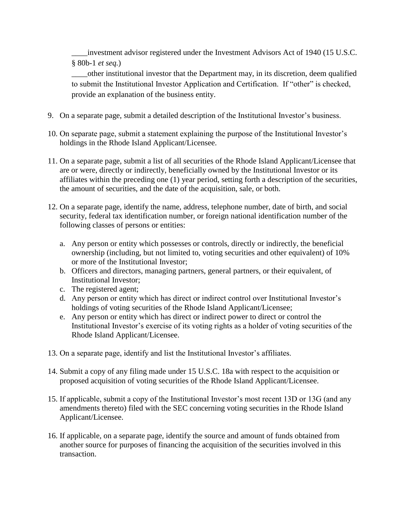\_\_\_\_investment advisor registered under the Investment Advisors Act of 1940 (15 U.S.C. § 80b-1 *et seq.*)

\_\_\_\_other institutional investor that the Department may, in its discretion, deem qualified to submit the Institutional Investor Application and Certification. If "other" is checked, provide an explanation of the business entity.

- 9. On a separate page, submit a detailed description of the Institutional Investor's business.
- 10. On separate page, submit a statement explaining the purpose of the Institutional Investor's holdings in the Rhode Island Applicant/Licensee.
- 11. On a separate page, submit a list of all securities of the Rhode Island Applicant/Licensee that are or were, directly or indirectly, beneficially owned by the Institutional Investor or its affiliates within the preceding one (1) year period, setting forth a description of the securities, the amount of securities, and the date of the acquisition, sale, or both.
- 12. On a separate page, identify the name, address, telephone number, date of birth, and social security, federal tax identification number, or foreign national identification number of the following classes of persons or entities:
	- a. Any person or entity which possesses or controls, directly or indirectly, the beneficial ownership (including, but not limited to, voting securities and other equivalent) of 10% or more of the Institutional Investor;
	- b. Officers and directors, managing partners, general partners, or their equivalent, of Institutional Investor;
	- c. The registered agent;
	- d. Any person or entity which has direct or indirect control over Institutional Investor's holdings of voting securities of the Rhode Island Applicant/Licensee;
	- e. Any person or entity which has direct or indirect power to direct or control the Institutional Investor's exercise of its voting rights as a holder of voting securities of the Rhode Island Applicant/Licensee.
- 13. On a separate page, identify and list the Institutional Investor's affiliates.
- 14. Submit a copy of any filing made under 15 U.S.C. 18a with respect to the acquisition or proposed acquisition of voting securities of the Rhode Island Applicant/Licensee.
- 15. If applicable, submit a copy of the Institutional Investor's most recent 13D or 13G (and any amendments thereto) filed with the SEC concerning voting securities in the Rhode Island Applicant/Licensee.
- 16. If applicable, on a separate page, identify the source and amount of funds obtained from another source for purposes of financing the acquisition of the securities involved in this transaction.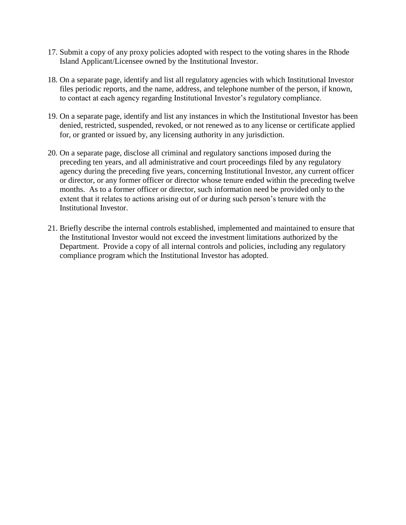- 17. Submit a copy of any proxy policies adopted with respect to the voting shares in the Rhode Island Applicant/Licensee owned by the Institutional Investor.
- 18. On a separate page, identify and list all regulatory agencies with which Institutional Investor files periodic reports, and the name, address, and telephone number of the person, if known, to contact at each agency regarding Institutional Investor's regulatory compliance.
- 19. On a separate page, identify and list any instances in which the Institutional Investor has been denied, restricted, suspended, revoked, or not renewed as to any license or certificate applied for, or granted or issued by, any licensing authority in any jurisdiction.
- 20. On a separate page, disclose all criminal and regulatory sanctions imposed during the preceding ten years, and all administrative and court proceedings filed by any regulatory agency during the preceding five years, concerning Institutional Investor, any current officer or director, or any former officer or director whose tenure ended within the preceding twelve months. As to a former officer or director, such information need be provided only to the extent that it relates to actions arising out of or during such person's tenure with the Institutional Investor.
- 21. Briefly describe the internal controls established, implemented and maintained to ensure that the Institutional Investor would not exceed the investment limitations authorized by the Department. Provide a copy of all internal controls and policies, including any regulatory compliance program which the Institutional Investor has adopted.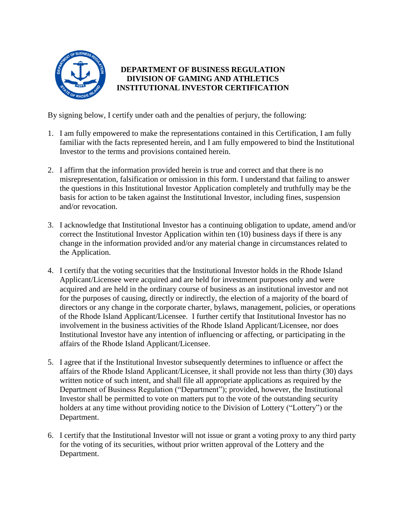

## **DEPARTMENT OF BUSINESS REGULATION DIVISION OF GAMING AND ATHLETICS INSTITUTIONAL INVESTOR CERTIFICATION**

By signing below, I certify under oath and the penalties of perjury, the following:

- 1. I am fully empowered to make the representations contained in this Certification, I am fully familiar with the facts represented herein, and I am fully empowered to bind the Institutional Investor to the terms and provisions contained herein.
- 2. I affirm that the information provided herein is true and correct and that there is no misrepresentation, falsification or omission in this form. I understand that failing to answer the questions in this Institutional Investor Application completely and truthfully may be the basis for action to be taken against the Institutional Investor, including fines, suspension and/or revocation.
- 3. I acknowledge that Institutional Investor has a continuing obligation to update, amend and/or correct the Institutional Investor Application within ten (10) business days if there is any change in the information provided and/or any material change in circumstances related to the Application.
- 4. I certify that the voting securities that the Institutional Investor holds in the Rhode Island Applicant/Licensee were acquired and are held for investment purposes only and were acquired and are held in the ordinary course of business as an institutional investor and not for the purposes of causing, directly or indirectly, the election of a majority of the board of directors or any change in the corporate charter, bylaws, management, policies, or operations of the Rhode Island Applicant/Licensee. I further certify that Institutional Investor has no involvement in the business activities of the Rhode Island Applicant/Licensee, nor does Institutional Investor have any intention of influencing or affecting, or participating in the affairs of the Rhode Island Applicant/Licensee.
- 5. I agree that if the Institutional Investor subsequently determines to influence or affect the affairs of the Rhode Island Applicant/Licensee, it shall provide not less than thirty (30) days written notice of such intent, and shall file all appropriate applications as required by the Department of Business Regulation ("Department"); provided, however, the Institutional Investor shall be permitted to vote on matters put to the vote of the outstanding security holders at any time without providing notice to the Division of Lottery ("Lottery") or the Department.
- 6. I certify that the Institutional Investor will not issue or grant a voting proxy to any third party for the voting of its securities, without prior written approval of the Lottery and the Department.